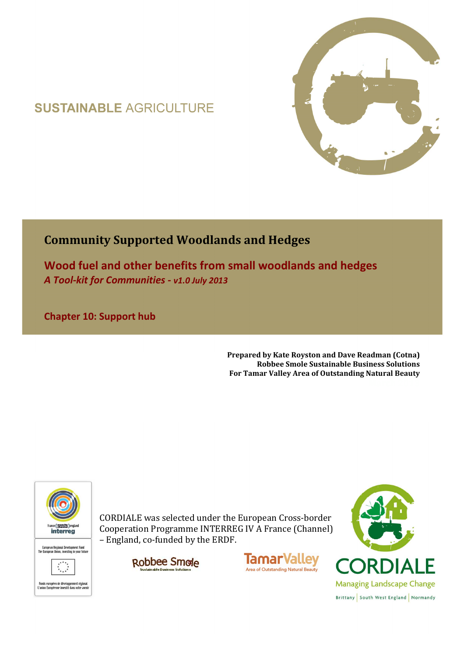## **SUSTAINABLE AGRICULTURE**



## **Community Supported Woodlands and Hedges**

**Wood fuel and other benefits from small woodlands and hedges**  *A Tool-kit for Communities - v1.0 July 2013*

**Chapter 10: Support hub** 

**Prepared by Kate Royston and Dave Readman (Cotna) Robbee Smole Sustainable Business Solutions For Tamar Valley Area of Outstanding Natural Beauty**



CORDIALE was selected under the European Cross-border Cooperation Programme INTERREG IV A France (Channel) – England, co-funded by the ERDF.